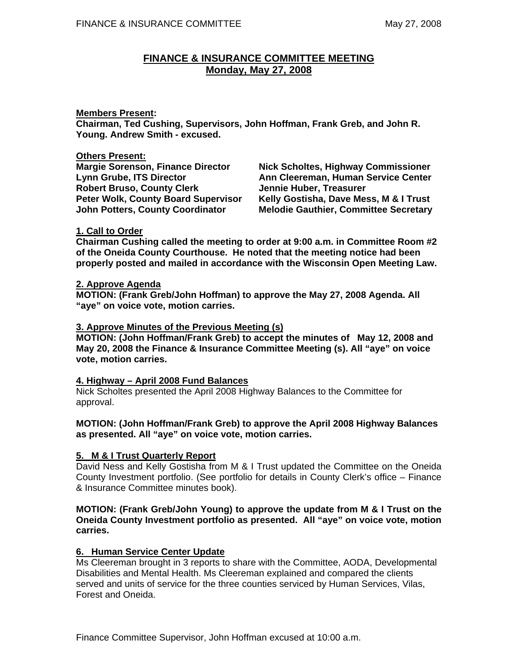# **FINANCE & INSURANCE COMMITTEE MEETING Monday, May 27, 2008**

### **Members Present:**

**Chairman, Ted Cushing, Supervisors, John Hoffman, Frank Greb, and John R. Young. Andrew Smith - excused.** 

### **Others Present:**

**Margie Sorenson, Finance Director Nick Scholtes, Highway Commissioner**  Robert Bruso, County Clerk **Jennie Huber, Treasurer** 

Lynn Grube, ITS Director **Ann Cleereman, Human Service Center Peter Wolk, County Board Supervisor Kelly Gostisha, Dave Mess, M & I Trust John Potters, County Coordinator Melodie Gauthier, Committee Secretary Melodie Gauthier, Committee Secretary** 

### **1. Call to Order**

**Chairman Cushing called the meeting to order at 9:00 a.m. in Committee Room #2 of the Oneida County Courthouse. He noted that the meeting notice had been properly posted and mailed in accordance with the Wisconsin Open Meeting Law.** 

### **2. Approve Agenda**

**MOTION: (Frank Greb/John Hoffman) to approve the May 27, 2008 Agenda. All "aye" on voice vote, motion carries.** 

### **3. Approve Minutes of the Previous Meeting (s)**

**MOTION: (John Hoffman/Frank Greb) to accept the minutes of May 12, 2008 and May 20, 2008 the Finance & Insurance Committee Meeting (s). All "aye" on voice vote, motion carries.** 

## **4. Highway – April 2008 Fund Balances**

Nick Scholtes presented the April 2008 Highway Balances to the Committee for approval.

### **MOTION: (John Hoffman/Frank Greb) to approve the April 2008 Highway Balances as presented. All "aye" on voice vote, motion carries.**

## **5. M & I Trust Quarterly Report**

David Ness and Kelly Gostisha from M & I Trust updated the Committee on the Oneida County Investment portfolio. (See portfolio for details in County Clerk's office – Finance & Insurance Committee minutes book).

### **MOTION: (Frank Greb/John Young) to approve the update from M & I Trust on the Oneida County Investment portfolio as presented. All "aye" on voice vote, motion carries.**

### **6. Human Service Center Update**

Ms Cleereman brought in 3 reports to share with the Committee, AODA, Developmental Disabilities and Mental Health. Ms Cleereman explained and compared the clients served and units of service for the three counties serviced by Human Services, Vilas, Forest and Oneida.